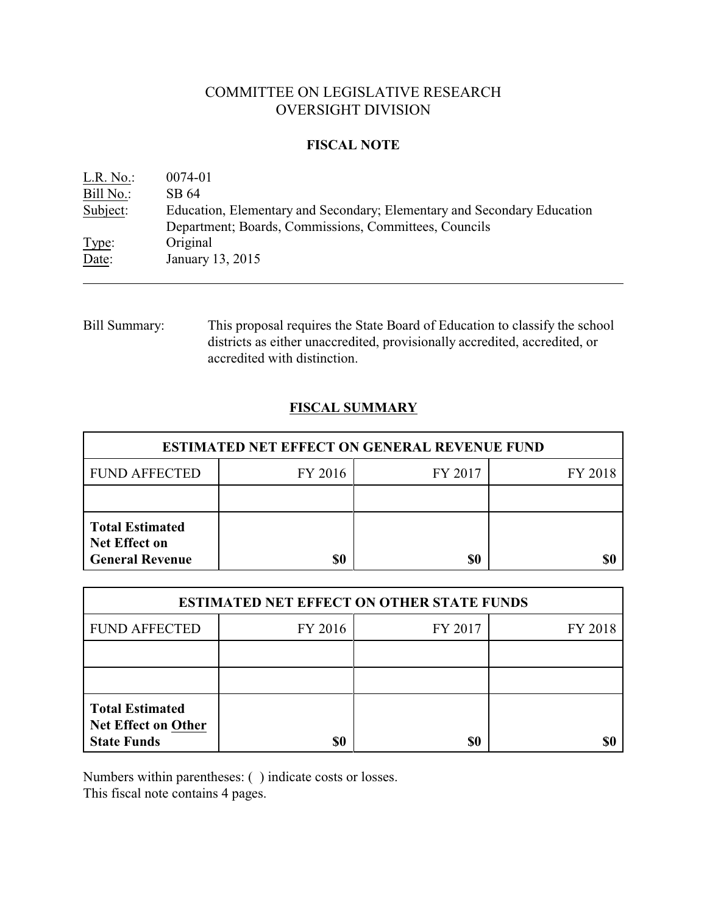# COMMITTEE ON LEGISLATIVE RESEARCH OVERSIGHT DIVISION

## **FISCAL NOTE**

| L.R. No.  | 0074-01                                                                 |
|-----------|-------------------------------------------------------------------------|
| Bill No.: | SB 64                                                                   |
| Subject:  | Education, Elementary and Secondary; Elementary and Secondary Education |
|           | Department; Boards, Commissions, Committees, Councils                   |
| Type:     | Original                                                                |
| Date:     | January 13, 2015                                                        |

Bill Summary: This proposal requires the State Board of Education to classify the school districts as either unaccredited, provisionally accredited, accredited, or accredited with distinction.

# **FISCAL SUMMARY**

| <b>ESTIMATED NET EFFECT ON GENERAL REVENUE FUND</b>                      |         |         |         |  |
|--------------------------------------------------------------------------|---------|---------|---------|--|
| <b>FUND AFFECTED</b>                                                     | FY 2016 | FY 2017 | FY 2018 |  |
|                                                                          |         |         |         |  |
| <b>Total Estimated</b><br><b>Net Effect on</b><br><b>General Revenue</b> | \$0     | \$0     |         |  |

| <b>ESTIMATED NET EFFECT ON OTHER STATE FUNDS</b>                           |         |         |         |  |
|----------------------------------------------------------------------------|---------|---------|---------|--|
| <b>FUND AFFECTED</b>                                                       | FY 2016 | FY 2017 | FY 2018 |  |
|                                                                            |         |         |         |  |
|                                                                            |         |         |         |  |
| <b>Total Estimated</b><br><b>Net Effect on Other</b><br><b>State Funds</b> | \$0     | \$0     |         |  |

Numbers within parentheses: ( ) indicate costs or losses.

This fiscal note contains 4 pages.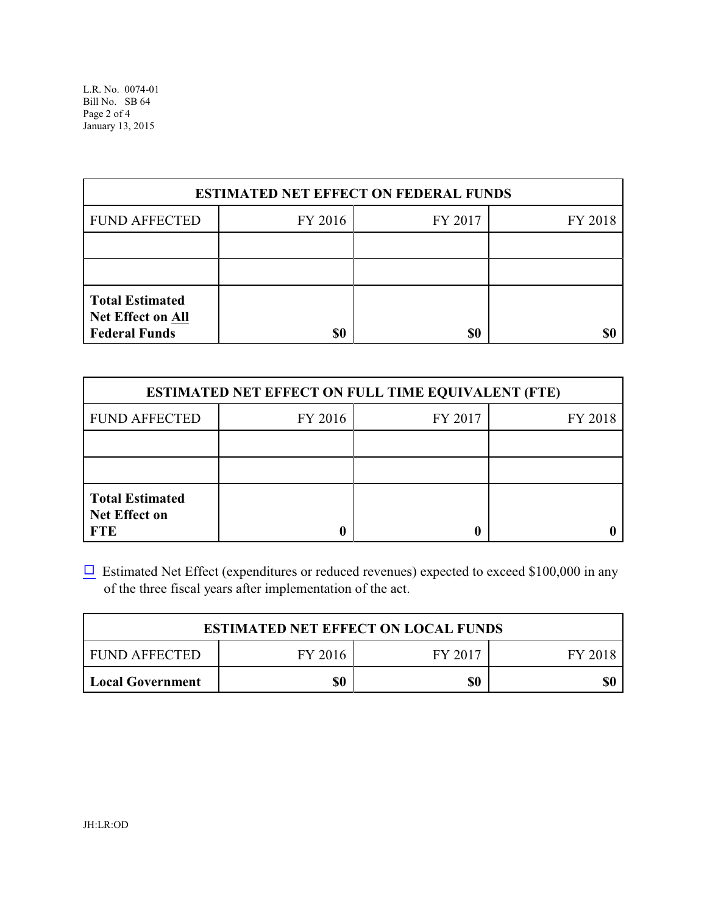| <b>ESTIMATED NET EFFECT ON FEDERAL FUNDS</b>                               |         |         |         |  |
|----------------------------------------------------------------------------|---------|---------|---------|--|
| <b>FUND AFFECTED</b>                                                       | FY 2016 | FY 2017 | FY 2018 |  |
|                                                                            |         |         |         |  |
|                                                                            |         |         |         |  |
| <b>Total Estimated</b><br><b>Net Effect on All</b><br><b>Federal Funds</b> | \$0     | \$0     |         |  |

| <b>ESTIMATED NET EFFECT ON FULL TIME EQUIVALENT (FTE)</b>    |         |         |         |  |
|--------------------------------------------------------------|---------|---------|---------|--|
| <b>FUND AFFECTED</b>                                         | FY 2016 | FY 2017 | FY 2018 |  |
|                                                              |         |         |         |  |
|                                                              |         |         |         |  |
| <b>Total Estimated</b><br><b>Net Effect on</b><br><b>FTE</b> |         |         |         |  |

 $\Box$  Estimated Net Effect (expenditures or reduced revenues) expected to exceed \$100,000 in any of the three fiscal years after implementation of the act.

| <b>ESTIMATED NET EFFECT ON LOCAL FUNDS</b> |         |         |         |
|--------------------------------------------|---------|---------|---------|
| FUND AFFECTED                              | FY 2016 | FY 2017 | FY 2018 |
| <b>Local Government</b>                    | \$0     | \$0     | \$0     |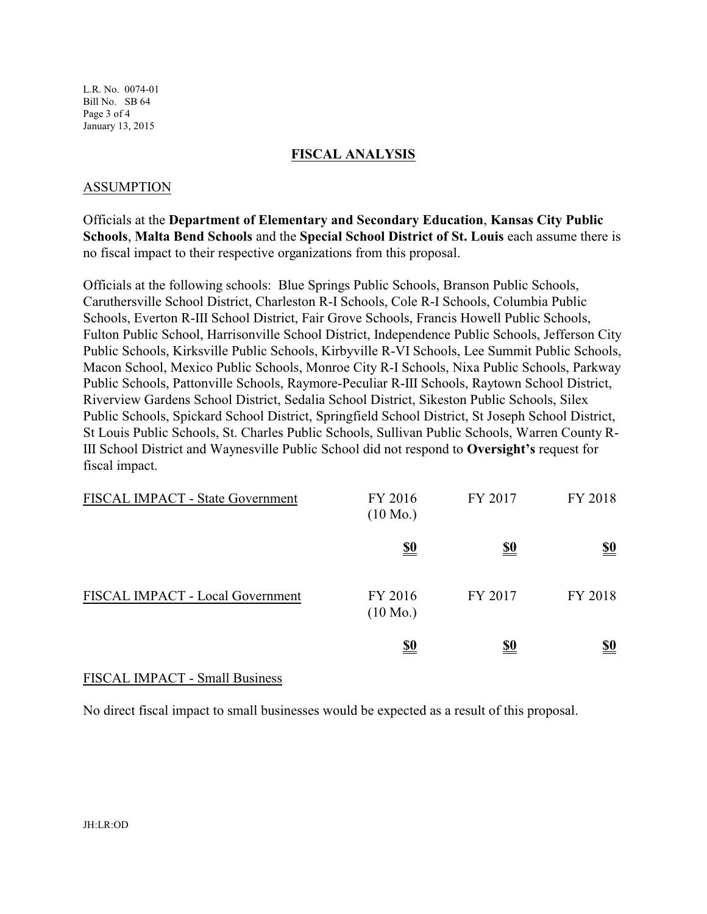L.R. No. 0074-01 Bill No. SB 64 Page 3 of 4 January 13, 2015

### **FISCAL ANALYSIS**

### ASSUMPTION

Officials at the **Department of Elementary and Secondary Education**, **Kansas City Public Schools**, **Malta Bend Schools** and the **Special School District of St. Louis** each assume there is no fiscal impact to their respective organizations from this proposal.

Officials at the following schools: Blue Springs Public Schools, Branson Public Schools, Caruthersville School District, Charleston R-I Schools, Cole R-I Schools, Columbia Public Schools, Everton R-III School District, Fair Grove Schools, Francis Howell Public Schools, Fulton Public School, Harrisonville School District, Independence Public Schools, Jefferson City Public Schools, Kirksville Public Schools, Kirbyville R-VI Schools, Lee Summit Public Schools, Macon School, Mexico Public Schools, Monroe City R-I Schools, Nixa Public Schools, Parkway Public Schools, Pattonville Schools, Raymore-Peculiar R-III Schools, Raytown School District, Riverview Gardens School District, Sedalia School District, Sikeston Public Schools, Silex Public Schools, Spickard School District, Springfield School District, St Joseph School District, St Louis Public Schools, St. Charles Public Schools, Sullivan Public Schools, Warren County R-III School District and Waynesville Public School did not respond to **Oversight's** request for fiscal impact.

| FISCAL IMPACT - State Government | FY 2016<br>$(10 \text{ Mo.})$ | FY 2017    | FY 2018    |
|----------------------------------|-------------------------------|------------|------------|
|                                  | <u>\$0</u>                    | <u>\$0</u> | <u>\$0</u> |
| FISCAL IMPACT - Local Government | FY 2016<br>$(10 \text{ Mo.})$ | FY 2017    | FY 2018    |
|                                  | <u>\$0</u>                    | <u>\$0</u> | <u>\$0</u> |

### FISCAL IMPACT - Small Business

No direct fiscal impact to small businesses would be expected as a result of this proposal.